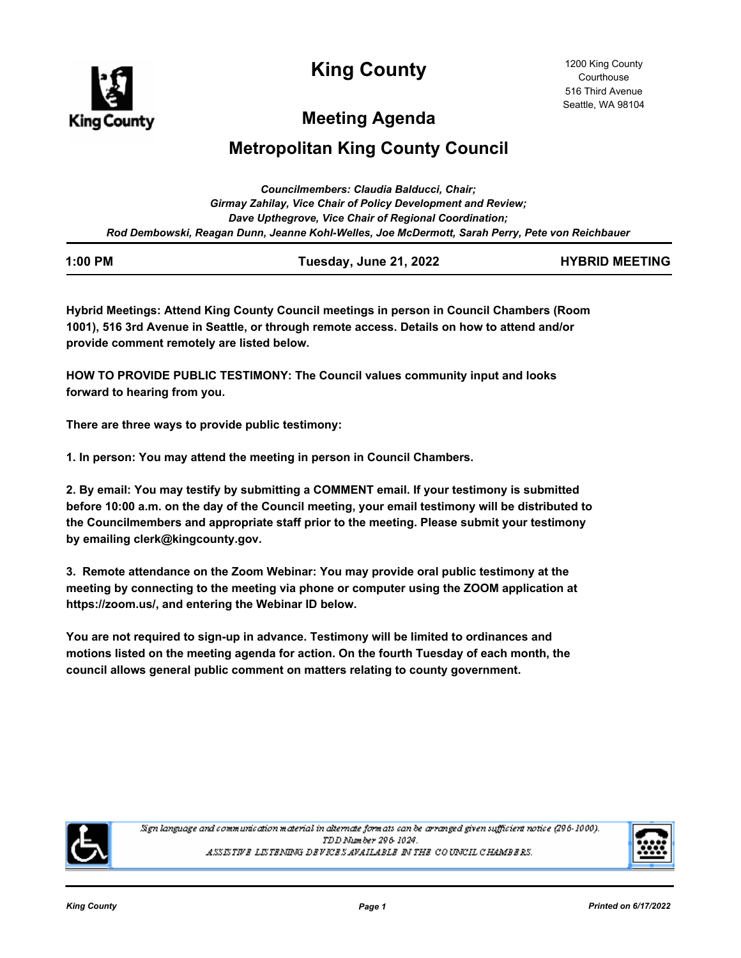

**King County**

# **Meeting Agenda**

# **Metropolitan King County Council**

| Councilmembers: Claudia Balducci, Chair:                                                        |
|-------------------------------------------------------------------------------------------------|
| Girmay Zahilay, Vice Chair of Policy Development and Review;                                    |
| Dave Upthegrove, Vice Chair of Regional Coordination;                                           |
| Rod Dembowski, Reagan Dunn, Jeanne Kohl-Welles, Joe McDermott, Sarah Perry, Pete von Reichbauer |

| 1:00 PM | Tuesday, June 21, 2022 | <b>HYBRID MEETING</b> |
|---------|------------------------|-----------------------|
|         |                        |                       |

**Hybrid Meetings: Attend King County Council meetings in person in Council Chambers (Room 1001), 516 3rd Avenue in Seattle, or through remote access. Details on how to attend and/or provide comment remotely are listed below.**

**HOW TO PROVIDE PUBLIC TESTIMONY: The Council values community input and looks forward to hearing from you.**

**There are three ways to provide public testimony:**

**1. In person: You may attend the meeting in person in Council Chambers.**

**2. By email: You may testify by submitting a COMMENT email. If your testimony is submitted before 10:00 a.m. on the day of the Council meeting, your email testimony will be distributed to the Councilmembers and appropriate staff prior to the meeting. Please submit your testimony by emailing clerk@kingcounty.gov.**

**3. Remote attendance on the Zoom Webinar: You may provide oral public testimony at the meeting by connecting to the meeting via phone or computer using the ZOOM application at https://zoom.us/, and entering the Webinar ID below.**

**You are not required to sign-up in advance. Testimony will be limited to ordinances and motions listed on the meeting agenda for action. On the fourth Tuesday of each month, the council allows general public comment on matters relating to county government.**



Sign language and communication material in alternate formats can be arranged given sufficient notice (296-1000). TDD Number 296-1024. ASSISTIVE LISTENING DEVICES AVAILABLE IN THE COUNCIL CHAMBERS.

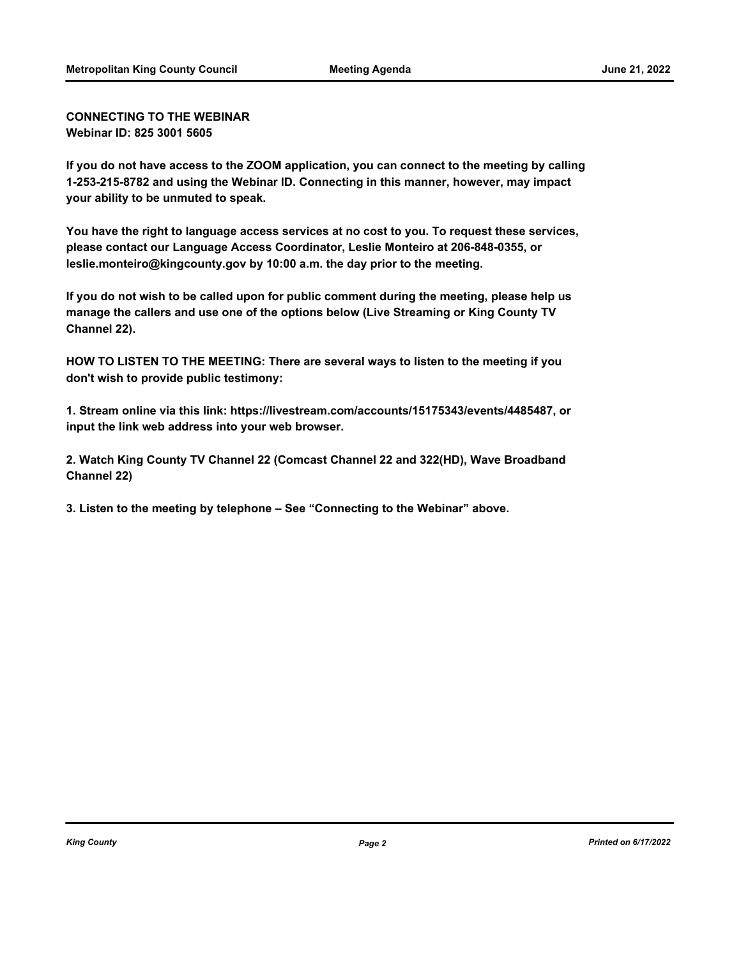**CONNECTING TO THE WEBINAR Webinar ID: 825 3001 5605**

**If you do not have access to the ZOOM application, you can connect to the meeting by calling 1-253-215-8782 and using the Webinar ID. Connecting in this manner, however, may impact your ability to be unmuted to speak.**

**You have the right to language access services at no cost to you. To request these services, please contact our Language Access Coordinator, Leslie Monteiro at 206-848-0355, or leslie.monteiro@kingcounty.gov by 10:00 a.m. the day prior to the meeting.**

**If you do not wish to be called upon for public comment during the meeting, please help us manage the callers and use one of the options below (Live Streaming or King County TV Channel 22).**

**HOW TO LISTEN TO THE MEETING: There are several ways to listen to the meeting if you don't wish to provide public testimony:**

**1. Stream online via this link: https://livestream.com/accounts/15175343/events/4485487, or input the link web address into your web browser.**

**2. Watch King County TV Channel 22 (Comcast Channel 22 and 322(HD), Wave Broadband Channel 22)**

**3. Listen to the meeting by telephone – See "Connecting to the Webinar" above.**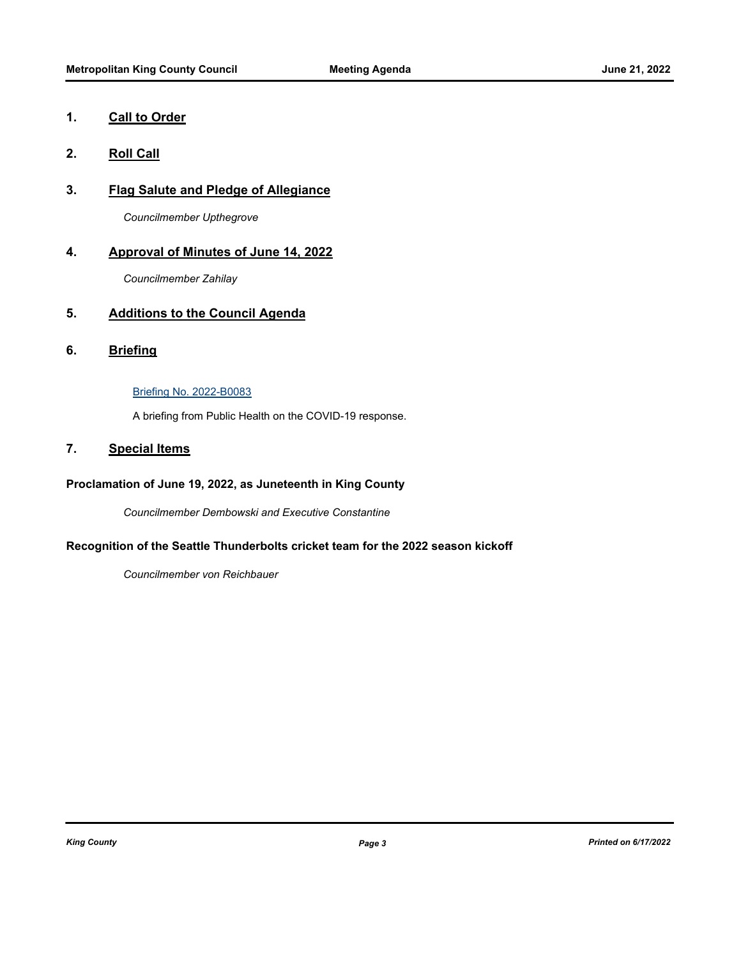## **1. Call to Order**

## **2. Roll Call**

## **3. Flag Salute and Pledge of Allegiance**

*Councilmember Upthegrove*

## **4. Approval of Minutes of June 14, 2022**

*Councilmember Zahilay*

## **5. Additions to the Council Agenda**

**6. Briefing**

#### [Briefing No. 2022-B0083](http://kingcounty.legistar.com/gateway.aspx?m=l&id=/matter.aspx?key=23202)

A briefing from Public Health on the COVID-19 response.

## **7. Special Items**

## **Proclamation of June 19, 2022, as Juneteenth in King County**

*Councilmember Dembowski and Executive Constantine*

## **Recognition of the Seattle Thunderbolts cricket team for the 2022 season kickoff**

*Councilmember von Reichbauer*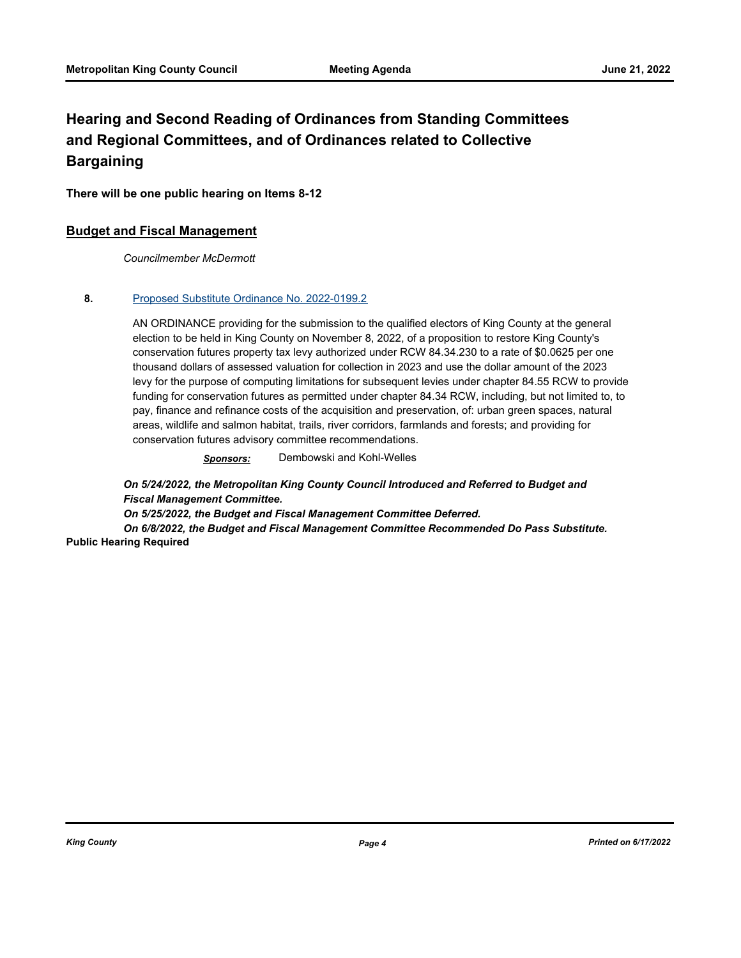## **Hearing and Second Reading of Ordinances from Standing Committees and Regional Committees, and of Ordinances related to Collective Bargaining**

**There will be one public hearing on Items 8-12**

#### **Budget and Fiscal Management**

*Councilmember McDermott*

#### **8.** [Proposed Substitute Ordinance No. 2022-0199.2](http://kingcounty.legistar.com/gateway.aspx?m=l&id=/matter.aspx?key=23128)

AN ORDINANCE providing for the submission to the qualified electors of King County at the general election to be held in King County on November 8, 2022, of a proposition to restore King County's conservation futures property tax levy authorized under RCW 84.34.230 to a rate of \$0.0625 per one thousand dollars of assessed valuation for collection in 2023 and use the dollar amount of the 2023 levy for the purpose of computing limitations for subsequent levies under chapter 84.55 RCW to provide funding for conservation futures as permitted under chapter 84.34 RCW, including, but not limited to, to pay, finance and refinance costs of the acquisition and preservation, of: urban green spaces, natural areas, wildlife and salmon habitat, trails, river corridors, farmlands and forests; and providing for conservation futures advisory committee recommendations.

*Sponsors:* Dembowski and Kohl-Welles

*On 5/24/2022, the Metropolitan King County Council Introduced and Referred to Budget and Fiscal Management Committee.* 

*On 5/25/2022, the Budget and Fiscal Management Committee Deferred.* 

*On 6/8/2022, the Budget and Fiscal Management Committee Recommended Do Pass Substitute.* **Public Hearing Required**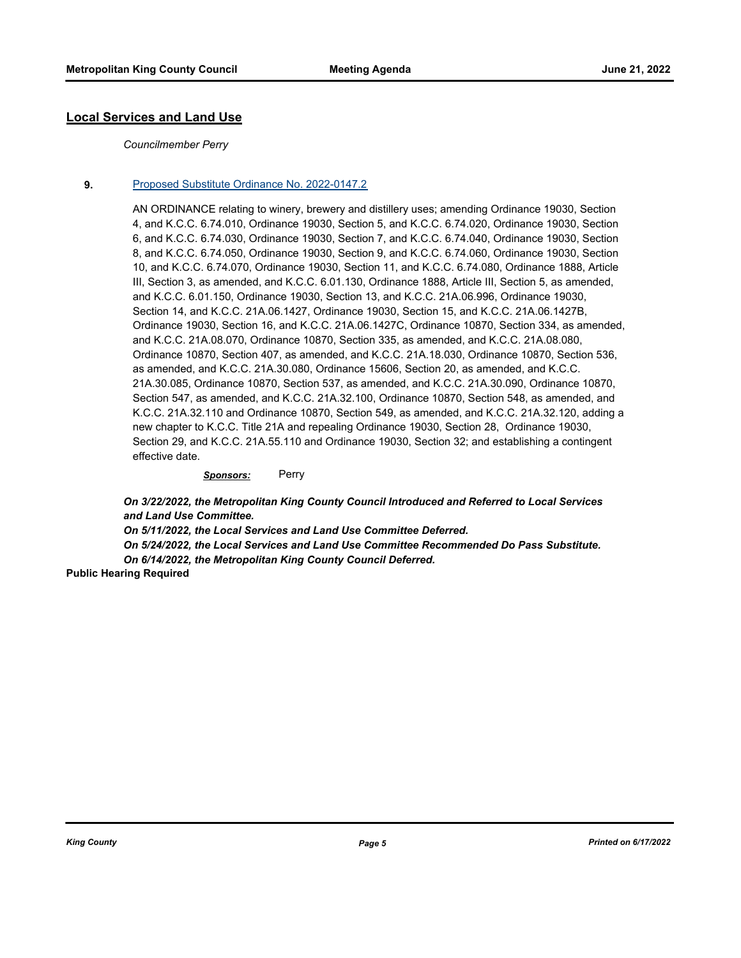#### **Local Services and Land Use**

#### *Councilmember Perry*

#### **9.** [Proposed Substitute Ordinance No. 2022-0147.2](http://kingcounty.legistar.com/gateway.aspx?m=l&id=/matter.aspx?key=23007)

AN ORDINANCE relating to winery, brewery and distillery uses; amending Ordinance 19030, Section 4, and K.C.C. 6.74.010, Ordinance 19030, Section 5, and K.C.C. 6.74.020, Ordinance 19030, Section 6, and K.C.C. 6.74.030, Ordinance 19030, Section 7, and K.C.C. 6.74.040, Ordinance 19030, Section 8, and K.C.C. 6.74.050, Ordinance 19030, Section 9, and K.C.C. 6.74.060, Ordinance 19030, Section 10, and K.C.C. 6.74.070, Ordinance 19030, Section 11, and K.C.C. 6.74.080, Ordinance 1888, Article III, Section 3, as amended, and K.C.C. 6.01.130, Ordinance 1888, Article III, Section 5, as amended, and K.C.C. 6.01.150, Ordinance 19030, Section 13, and K.C.C. 21A.06.996, Ordinance 19030, Section 14, and K.C.C. 21A.06.1427, Ordinance 19030, Section 15, and K.C.C. 21A.06.1427B, Ordinance 19030, Section 16, and K.C.C. 21A.06.1427C, Ordinance 10870, Section 334, as amended, and K.C.C. 21A.08.070, Ordinance 10870, Section 335, as amended, and K.C.C. 21A.08.080, Ordinance 10870, Section 407, as amended, and K.C.C. 21A.18.030, Ordinance 10870, Section 536, as amended, and K.C.C. 21A.30.080, Ordinance 15606, Section 20, as amended, and K.C.C. 21A.30.085, Ordinance 10870, Section 537, as amended, and K.C.C. 21A.30.090, Ordinance 10870, Section 547, as amended, and K.C.C. 21A.32.100, Ordinance 10870, Section 548, as amended, and K.C.C. 21A.32.110 and Ordinance 10870, Section 549, as amended, and K.C.C. 21A.32.120, adding a new chapter to K.C.C. Title 21A and repealing Ordinance 19030, Section 28, Ordinance 19030, Section 29, and K.C.C. 21A.55.110 and Ordinance 19030, Section 32; and establishing a contingent effective date.

#### *Sponsors:* Perry

*On 3/22/2022, the Metropolitan King County Council Introduced and Referred to Local Services and Land Use Committee.* 

*On 5/11/2022, the Local Services and Land Use Committee Deferred.* 

*On 5/24/2022, the Local Services and Land Use Committee Recommended Do Pass Substitute. On 6/14/2022, the Metropolitan King County Council Deferred.*

**Public Hearing Required**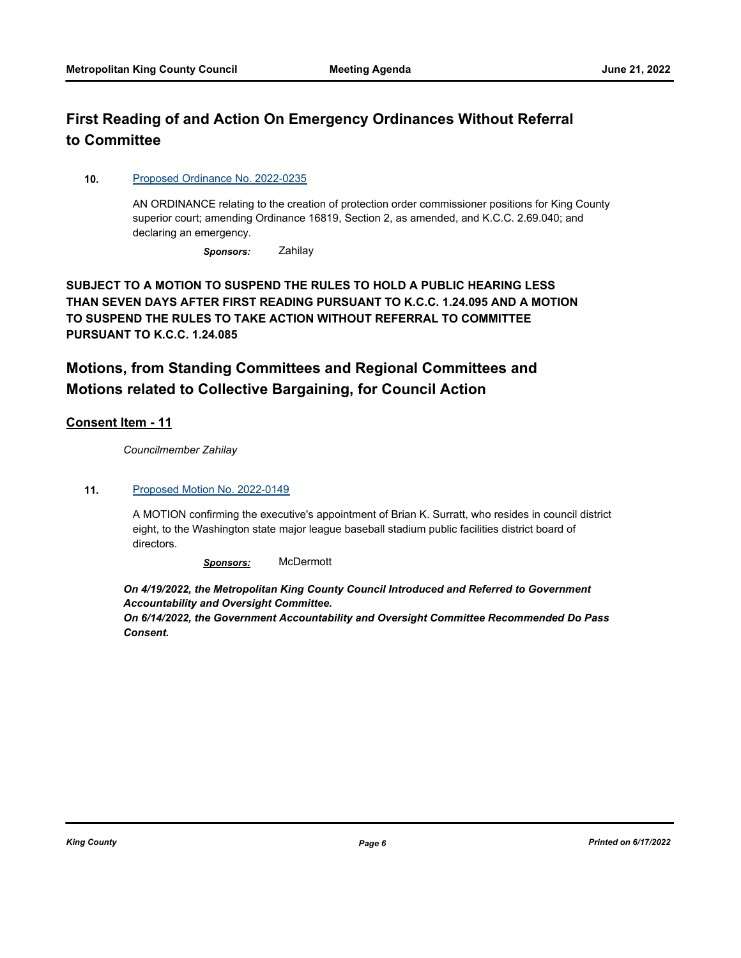## **First Reading of and Action On Emergency Ordinances Without Referral to Committee**

#### **10.** [Proposed Ordinance No. 2022-0235](http://kingcounty.legistar.com/gateway.aspx?m=l&id=/matter.aspx?key=23194)

AN ORDINANCE relating to the creation of protection order commissioner positions for King County superior court; amending Ordinance 16819, Section 2, as amended, and K.C.C. 2.69.040; and declaring an emergency.

*Sponsors:* Zahilay

**SUBJECT TO A MOTION TO SUSPEND THE RULES TO HOLD A PUBLIC HEARING LESS THAN SEVEN DAYS AFTER FIRST READING PURSUANT TO K.C.C. 1.24.095 AND A MOTION TO SUSPEND THE RULES TO TAKE ACTION WITHOUT REFERRAL TO COMMITTEE PURSUANT TO K.C.C. 1.24.085**

## **Motions, from Standing Committees and Regional Committees and Motions related to Collective Bargaining, for Council Action**

## **Consent Item - 11**

*Councilmember Zahilay*

#### **11.** [Proposed Motion No. 2022-0149](http://kingcounty.legistar.com/gateway.aspx?m=l&id=/matter.aspx?key=23011)

A MOTION confirming the executive's appointment of Brian K. Surratt, who resides in council district eight, to the Washington state major league baseball stadium public facilities district board of directors.

*Sponsors:* McDermott

*On 4/19/2022, the Metropolitan King County Council Introduced and Referred to Government Accountability and Oversight Committee.* 

*On 6/14/2022, the Government Accountability and Oversight Committee Recommended Do Pass Consent.*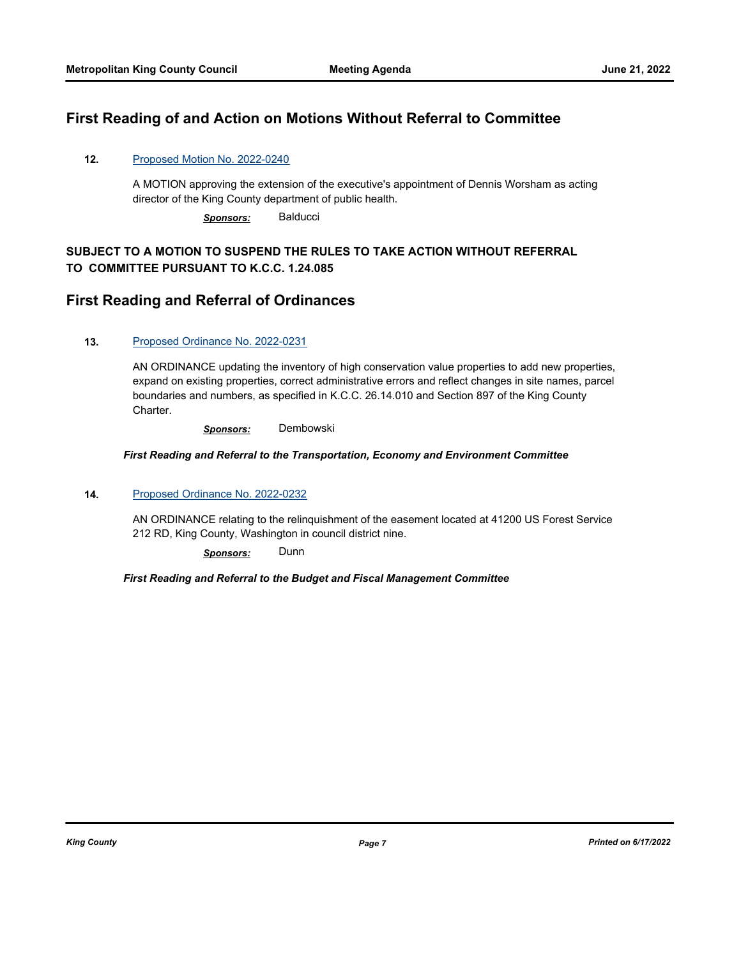## **First Reading of and Action on Motions Without Referral to Committee**

#### **12.** [Proposed Motion No. 2022-0240](http://kingcounty.legistar.com/gateway.aspx?m=l&id=/matter.aspx?key=23203)

A MOTION approving the extension of the executive's appointment of Dennis Worsham as acting director of the King County department of public health.

*Sponsors:* Balducci

## **SUBJECT TO A MOTION TO SUSPEND THE RULES TO TAKE ACTION WITHOUT REFERRAL TO COMMITTEE PURSUANT TO K.C.C. 1.24.085**

## **First Reading and Referral of Ordinances**

#### **13.** [Proposed Ordinance No. 2022-0231](http://kingcounty.legistar.com/gateway.aspx?m=l&id=/matter.aspx?key=23186)

AN ORDINANCE updating the inventory of high conservation value properties to add new properties, expand on existing properties, correct administrative errors and reflect changes in site names, parcel boundaries and numbers, as specified in K.C.C. 26.14.010 and Section 897 of the King County Charter.

*Sponsors:* Dembowski

#### *First Reading and Referral to the Transportation, Economy and Environment Committee*

#### **14.** [Proposed Ordinance No. 2022-0232](http://kingcounty.legistar.com/gateway.aspx?m=l&id=/matter.aspx?key=23187)

AN ORDINANCE relating to the relinquishment of the easement located at 41200 US Forest Service 212 RD, King County, Washington in council district nine.

*Sponsors:* Dunn

#### *First Reading and Referral to the Budget and Fiscal Management Committee*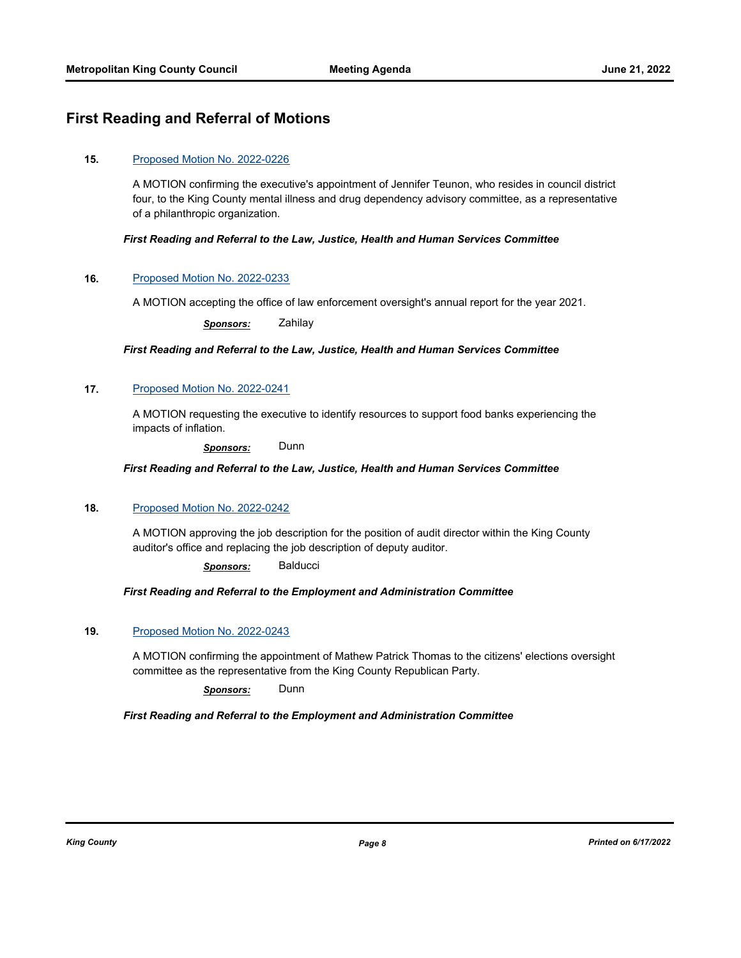## **First Reading and Referral of Motions**

#### **15.** [Proposed Motion No. 2022-0226](http://kingcounty.legistar.com/gateway.aspx?m=l&id=/matter.aspx?key=23181)

A MOTION confirming the executive's appointment of Jennifer Teunon, who resides in council district four, to the King County mental illness and drug dependency advisory committee, as a representative of a philanthropic organization.

#### *First Reading and Referral to the Law, Justice, Health and Human Services Committee*

#### **16.** [Proposed Motion No. 2022-0233](http://kingcounty.legistar.com/gateway.aspx?m=l&id=/matter.aspx?key=23188)

A MOTION accepting the office of law enforcement oversight's annual report for the year 2021.

*Sponsors:* Zahilay

*First Reading and Referral to the Law, Justice, Health and Human Services Committee*

#### **17.** [Proposed Motion No. 2022-0241](http://kingcounty.legistar.com/gateway.aspx?m=l&id=/matter.aspx?key=23204)

A MOTION requesting the executive to identify resources to support food banks experiencing the impacts of inflation.

*Sponsors:* Dunn

*First Reading and Referral to the Law, Justice, Health and Human Services Committee*

#### **18.** [Proposed Motion No. 2022-0242](http://kingcounty.legistar.com/gateway.aspx?m=l&id=/matter.aspx?key=23205)

A MOTION approving the job description for the position of audit director within the King County auditor's office and replacing the job description of deputy auditor.

*Sponsors:* Balducci

#### *First Reading and Referral to the Employment and Administration Committee*

#### **19.** [Proposed Motion No. 2022-0243](http://kingcounty.legistar.com/gateway.aspx?m=l&id=/matter.aspx?key=23206)

A MOTION confirming the appointment of Mathew Patrick Thomas to the citizens' elections oversight committee as the representative from the King County Republican Party.

*Sponsors:* Dunn

#### *First Reading and Referral to the Employment and Administration Committee*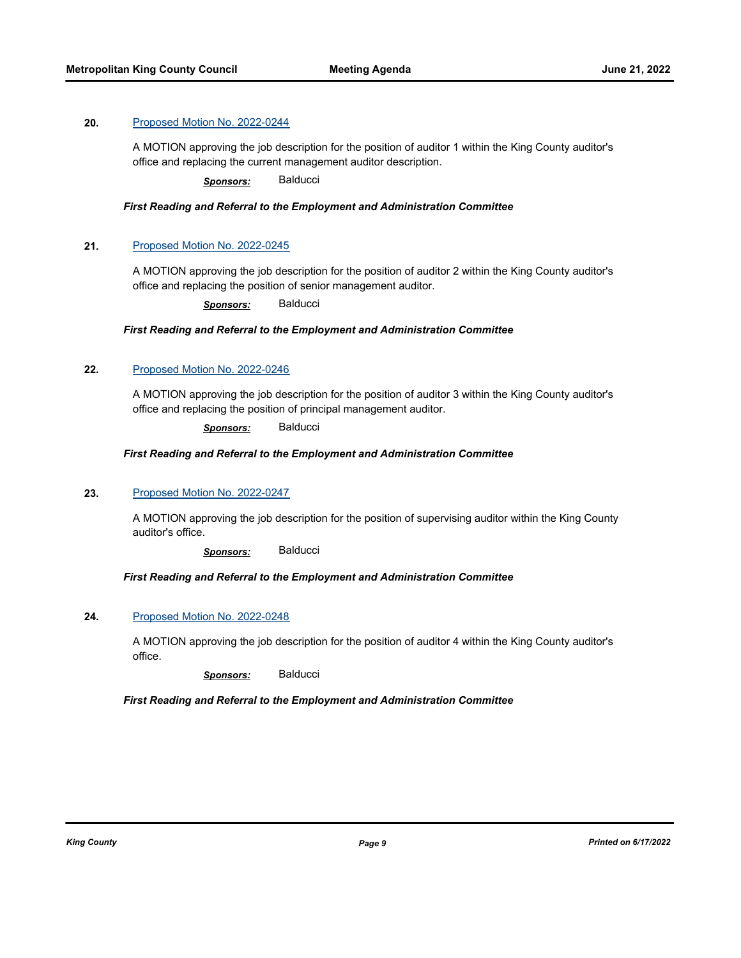#### **20.** [Proposed Motion No. 2022-0244](http://kingcounty.legistar.com/gateway.aspx?m=l&id=/matter.aspx?key=23207)

A MOTION approving the job description for the position of auditor 1 within the King County auditor's office and replacing the current management auditor description.

*Sponsors:* Balducci

#### *First Reading and Referral to the Employment and Administration Committee*

#### **21.** [Proposed Motion No. 2022-0245](http://kingcounty.legistar.com/gateway.aspx?m=l&id=/matter.aspx?key=23208)

A MOTION approving the job description for the position of auditor 2 within the King County auditor's office and replacing the position of senior management auditor.

*Sponsors:* Balducci

#### *First Reading and Referral to the Employment and Administration Committee*

#### **22.** [Proposed Motion No. 2022-0246](http://kingcounty.legistar.com/gateway.aspx?m=l&id=/matter.aspx?key=23209)

A MOTION approving the job description for the position of auditor 3 within the King County auditor's office and replacing the position of principal management auditor.

*Sponsors:* Balducci

#### *First Reading and Referral to the Employment and Administration Committee*

#### **23.** [Proposed Motion No. 2022-0247](http://kingcounty.legistar.com/gateway.aspx?m=l&id=/matter.aspx?key=23210)

A MOTION approving the job description for the position of supervising auditor within the King County auditor's office.

*Sponsors:* Balducci

#### *First Reading and Referral to the Employment and Administration Committee*

#### **24.** [Proposed Motion No. 2022-0248](http://kingcounty.legistar.com/gateway.aspx?m=l&id=/matter.aspx?key=23211)

A MOTION approving the job description for the position of auditor 4 within the King County auditor's office.

*Sponsors:* Balducci

#### *First Reading and Referral to the Employment and Administration Committee*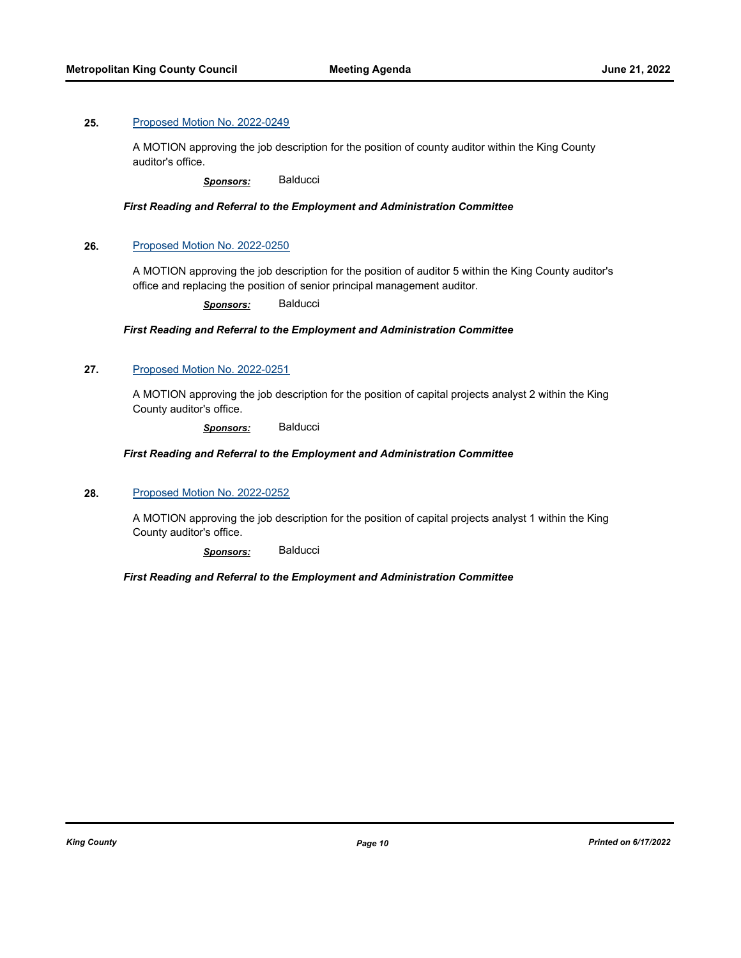#### **25.** [Proposed Motion No. 2022-0249](http://kingcounty.legistar.com/gateway.aspx?m=l&id=/matter.aspx?key=23212)

A MOTION approving the job description for the position of county auditor within the King County auditor's office.

*Sponsors:* Balducci

*First Reading and Referral to the Employment and Administration Committee*

#### **26.** [Proposed Motion No. 2022-0250](http://kingcounty.legistar.com/gateway.aspx?m=l&id=/matter.aspx?key=23213)

A MOTION approving the job description for the position of auditor 5 within the King County auditor's office and replacing the position of senior principal management auditor.

*Sponsors:* Balducci

#### *First Reading and Referral to the Employment and Administration Committee*

#### **27.** [Proposed Motion No. 2022-0251](http://kingcounty.legistar.com/gateway.aspx?m=l&id=/matter.aspx?key=23214)

A MOTION approving the job description for the position of capital projects analyst 2 within the King County auditor's office.

*Sponsors:* Balducci

#### *First Reading and Referral to the Employment and Administration Committee*

#### **28.** [Proposed Motion No. 2022-0252](http://kingcounty.legistar.com/gateway.aspx?m=l&id=/matter.aspx?key=23215)

A MOTION approving the job description for the position of capital projects analyst 1 within the King County auditor's office.

*Sponsors:* Balducci

#### *First Reading and Referral to the Employment and Administration Committee*